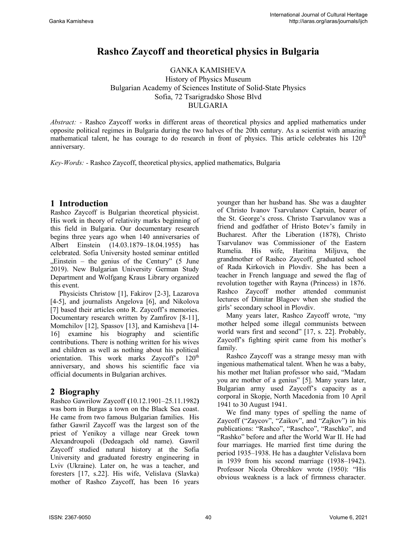# **Rashco Zaycoff and theoretical physics in Bulgaria**

GANKA KAMISHEVA History of Physics Museum Bulgarian Academy of Sciences Institute of Solid-State Physics Sofia, 72 Tsarigradsko Shose Blvd BULGARIA

*Abstract: -* Rashco Zaycoff works in different areas of theoretical physics and applied mathematics under opposite political regimes in Bulgaria during the two halves of the 20th century. As a scientist with amazing mathematical talent, he has courage to do research in front of physics. This article celebrates his  $120<sup>th</sup>$ anniversary.

*Key-Words: -* Rashco Zaycoff, theoretical physics, applied mathematics, Bulgaria

### **1 Introduction**

Rashco Zaycoff is Bulgarian theoretical physicist. His work in theory of relativity marks beginning of this field in Bulgaria. Our documentary research begins three years ago when 140 anniversaries of Albert Einstein (14.03.1879–18.04.1955) has celebrated. Sofia University hosted seminar entitled  $n$ Einstein – the genius of the Century" (5 June 2019). New Bulgarian University German Study Department and Wolfgang Kraus Library organized this event.

Physicists Christow [1], Fakirov [2-3], Lazarova [4-5], and journalists Angelova [6], and Nikolova [7] based their articles onto R. Zaycoff's memories. Documentary research written by Zamfirov [8-11], Momchilov [12], Spassov [13], and Kamisheva [14- 16] examine his biography and scientific contributions. There is nothing written for his wives and children as well as nothing about his political orientation. This work marks Zaycoff's 120<sup>th</sup> anniversary, and shows his scientific face via official documents in Bulgarian archives.

# **2 Biography**

Rashco Gawrilow Zaycoff **(**10.12.1901–25.11.1982**)** was born in Burgas a town on the Black Sea coast. He came from two famous Bulgarian families. His father Gawril Zaycoff was the largest son of the priest of Yenikoy a village near Greek town Alexandroupoli (Dedeagach old name). Gawril Zaycoff studied natural history at the Sofia University and graduated forestry engineering in Lviv (Ukraine). Later on, he was a teacher, and foresters [17, s.22]. His wife, Velislava (Slavka) mother of Rashco Zaycoff, has been 16 years younger than her husband has. She was a daughter of Christo Ivanov Tsarvulanov Captain, bearer of the St. George's cross. Christo Tsarvulanov was a friend and godfather of Hristo Botev's family in Bucharest. After the Liberation (1878), Christo Tsarvulanov was Commissioner of the Eastern Rumelia. His wife, Haritina Miljuva, the grandmother of Rashco Zaycoff, graduated school of Rada Kirkovich in Plovdiv. She has been a teacher in French language and sewed the flag of revolution together with Rayna (Princess) in 1876. Rashco Zaycoff mother attended communist lectures of Dimitar Blagoev when she studied the girls' secondary school in Plovdiv.

Many years later, Rashco Zaycoff wrote, "my mother helped some illegal communists between world wars first and second" [17, s. 22]. Probably, Zaycoff's fighting spirit came from his mother's family.

Rashco Zaycoff was a strange messy man with ingenious mathematical talent. When he was a baby, his mother met Italian professor who said, "Madam you are mother of a genius" [5]. Many years later, Bulgarian army used Zaycoff's capacity as a corporal in Skopje, North Macedonia from 10 April 1941 to 30 August 1941.

We find many types of spelling the name of Zaycoff ("Zaycov", "Zaikov", and "Zajkov") in his publications: "Rashco", "Raschco", "Raschko", and "Rashko" before and after the World War II. He had four marriages. He married first time during the period 1935–1938. He has a daughter Velislava born in 1939 from his second marriage (1938–1942). Professor Nicola Obreshkov wrote (1950): "His obvious weakness is a lack of firmness character.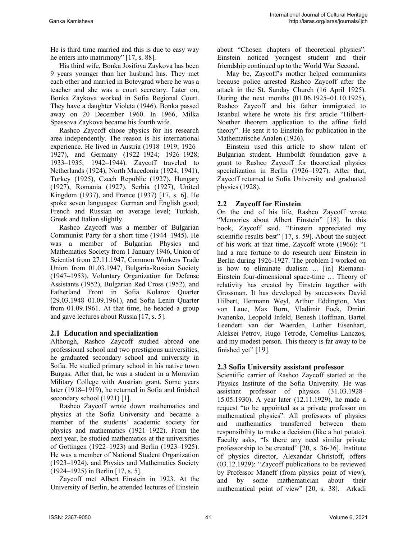He is third time married and this is due to easy way he enters into matrimony" [17, s. 88].

His third wife, Bonka Josifova Zaykova has been 9 years younger than her husband has. They met each other and married in Botevgrad where he was a teacher and she was a court secretary. Later on, Bonka Zaykova worked in Sofia Regional Court. They have a daughter Violeta (1946). Bonka passed away on 20 December 1960. In 1966, Milka Spassova Zaykova became his fourth wife.

Rashco Zaycoff chose physics for his research area independently. The reason is his international experience. He lived in Austria (1918–1919; 1926– 1927), and Germany (1922–1924; 1926–1928; 1933–1935; 1942–1944). Zaycoff traveled to Netherlands (1924), North Macedonia (1924; 1941), Turkеy (1925), Czech Republic (1927), Hungary (1927), Romania (1927), Serbia (1927), United Kingdom (1937), and France (1937) [17, s. 6]. He spoke seven languages: German and English good; French and Russian on average level; Turkish, Greek and Italian slightly.

Rashco Zaycoff was a member of Bulgarian Communist Party for a short time (1944–1945). He was a member of Bulgarian Physics and Mathematics Society from 1 January 1946, Union of Scientist from 27.11.1947, Common Workers Trade Union from 01.03.1947, Bulgaria-Russian Society (1947–1953), Voluntary Organization for Defense Assistants (1952), Bulgarian Red Cross (1952), and Fatherland Front in Sofia Kolarov Quarter (29.03.1948–01.09.1961), and Sofia Lenin Quarter from 01.09.1961. At that time, he headed a group and gave lectures about Russia [17, s. 5].

#### **2.1 Education and specialization**

Although, Rashco Zaycoff studied abroad one professional school and two prestigious universities, he graduated secondary school and university in Sofia. He studied primary school in his native town Burgas. After that, he was a student in a Moravian Military College with Austrian grant. Some years later (1918–1919), he returned in Sofia and finished secondary school (1921) [1].

Rashco Zaycoff wrote down mathematics and physics at the Sofia University and became a member of the students' academic society for physics and mathematics (1921–1922). From the next year, he studied mathematics at the universities of Gottingen (1922–1923) and Berlin (1923–1925). He was a member of National Student Organization (1923–1924), and Physics and Mathematics Society (1924–1925) in Berlin [17, s. 5].

Zaycoff met Albert Einstein in 1923. At the University of Berlin, he attended lectures of Einstein about "Chosen chapters of theoretical physics". Einstein noticed youngest student and their friendship continued up to the World War Second.

May be, Zaycoff's mother helped communists because police arrested Rashco Zaycoff after the attack in the St. Sunday Church (16 April 1925). During the next months (01.06.1925–01.10.1925), Rashco Zaycoff and his father immigrated to Istanbul where he wrote his first article "Hilbert-Noether theorem application to the affine field theory". He sent it to Einstein for publication in the Mathematische Analen (1926).

Einstein used this article to show talent of Bulgarian student. Humboldt foundation gave a grant to Rashco Zaycoff for theoretical physics specialization in Berlin (1926–1927). After that, Zaycoff returned to Sofia University and graduated physics (1928).

#### **2.2 Zaycoff for Einstein**

On the end of his life, Rashco Zaycoff wrote "Memories about Albert Einstein" [18]. In this book, Zaycoff said, "Einstein appreciated my scientific results best" [17, s. 59]. About the subject of his work at that time, Zaycoff wrote (1966): "I had a rare fortune to do research near Einstein in Berlin during 1926-1927. The problem I worked on is how to eliminate dualism ... [in] Riemann-Einstein four-dimensional space-time … Theory of relativity has created by Einstein together with Grossman. It has developed by successors David Hilbert, Hermann Weyl, Arthur Eddington, Max von Laue, Max Born, Vladimir Fock, Dmitri Ivanenko, Leopold Infeld, Benesh Hoffman, Bartel Leendert van der Waerden, Luther Eisenhart, Aleksei Petrov, Hugo Tetrode, Cornelius Lanczos, and my modest person. This theory is far away to be finished yet" [19].

#### **2.3 Sofia University assistant professor**

Scientific carrier of Rashco Zaycoff started at the Physics Institute of the Sofia University. He was assistant professor of physics (31.03.1928– 15.05.1930). A year later (12.11.1929), he made a request "to be appointed as a private professor on mathematical physics". All professors of physics and mathematics transferred between them responsibility to make a decision (like a hot potato). Faculty asks, "Is there any need similar private professorship to be created" [20, s. 36-36]. Institute of physics director, Alexandar Christoff, offers (03.12.1929): "Zaycoff publications to be reviewed by Professor Maneff (from physics point of view), and by some mathematician about their mathematical point of view" [20, s. 38]. Arkadi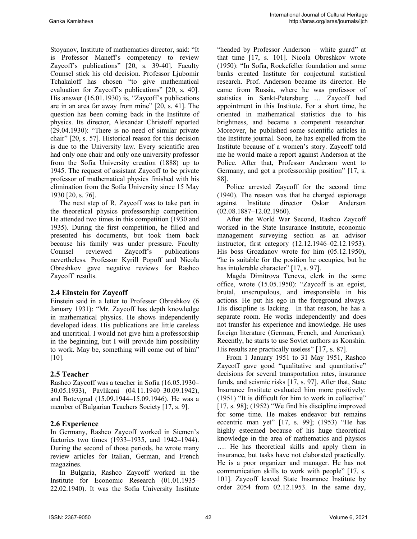Stoyanov, Institute of mathematics director, said: "It is Professor Maneff's competency to review Zaycoff's publications" [20, s. 39-40]. Faculty Counsel stick his old decision. Professor Ljubomir Tchakaloff has chosen "to give mathematical evaluation for Zaycoff's publications" [20, s. 40]. His answer (16.01.1930) is, "Zaycoff's publications are in an area far away from mine" [20, s. 41]. The question has been coming back in the Institute of physics. Its director, Alexandar Christoff reported (29.04.1930): "There is no need of similar private chair" [20, s. 57]. Historical reason for this decision is due to the University law. Every scientific area had only one chair and only one university professor from the Sofia University creation (1888) up to 1945. The request of assistant Zaycoff to be private professor of mathematical physics finished with his elimination from the Sofia University since 15 May 1930 [20, s. 76].

The next step of R. Zaycoff was to take part in the theoretical physics professorship competition. He attended two times in this competition (1930 and 1935). During the first competition, he filled and presented his documents, but took them back because his family was under pressure. Faculty Counsel reviewed Zaycoff's publications nevertheless. Professor Kyrill Popoff and Nicola Obreshkov gave negative reviews for Rashco Zaycoff' results.

#### **2.4 Einstein for Zaycoff**

Einstein said in a letter to Professor Obreshkov (6 January 1931): "Mr. Zaycoff has depth knowledge in mathematical physics. He shows independently developed ideas. His publications are little careless and uncritical. I would not give him a professorship in the beginning, but I will provide him possibility to work. May be, something will come out of him" [10].

### **2.5 Teacher**

Rashco Zaycoff was a teacher in Sofia (16.05.1930– 30.05.1933), Pavlikeni (04.11.1940–30.09.1942), and Botevgrad (15.09.1944–15.09.1946). He was a member of Bulgarian Teachers Society [17, s. 9].

#### **2.6 Experience**

In Germany, Rashco Zaycoff worked in Siemen's factories two times (1933–1935, and 1942–1944). During the second of those periods, he wrote many review articles for Italian, German, and French magazines.

In Bulgaria, Rashco Zaycoff worked in the Institute for Economic Research (01.01.1935– 22.02.1940). It was the Sofia University Institute "headed by Professor Anderson – white guard" at that time [17, s. 101]. Nicola Obreshkov wrote (1950): "In Sofia, Rockefeller foundation and some banks created Institute for conjectural statistical research. Prof. Anderson became its director. He came from Russia, where he was professor of statistics in Sankt-Petersburg … Zaycoff had appointment in this Institute. For a short time, he oriented in mathematical statistics due to his brightness, and became a competent researcher. Moreover, he published some scientific articles in the Institute journal. Soon, he has expelled from the Institute because of a women's story. Zaycoff told me he would make a report against Anderson at the Police. After that, Professor Anderson went to Germany, and got a professorship position" [17, s. 88].

Police arrested Zaycoff for the second time (1940). The reason was that he charged espionage against Institute director Oskar Anderson (02.08.1887–12.02.1960).

After the World War Second, Rashco Zaycoff worked in the State Insurance Institute, economic management surveying section as an advisor instructor, first category (12.12.1946–02.12.1953). His boss Grozdanov wrote for him (05.12.1950), "he is suitable for the position he occupies, but he has intolerable character" [17, s. 97].

Magda Dimitrova Teneva, clerk in the same office, wrote (15.05.1950): "Zaycoff is an egoist, brutal, unscrupulous, and irresponsible in his actions. He put his ego in the foreground always. His discipline is lacking. In that reason, he has a separate room. He works independently and does not transfer his experience and knowledge. He uses foreign literature (German, French, and American). Recently, he starts to use Soviet authors as Konshin. His results are practically useless" [17, s. 87].

From 1 January 1951 to 31 May 1951, Rashco Zaycoff gave good "qualitative and quantitative" decisions for several transportation rates, insurance funds, and seismic risks [17, s. 97]. After that, State Insurance Institute evaluated him more positively: (1951) "It is difficult for him to work in collective" [17, s. 98]; (1952) "We find his discipline improved for some time. He makes endeavor but remains eccentric man yet" [17, s. 99]; (1953) "He has highly esteemed because of his huge theoretical knowledge in the area of mathematics and physics …. He has theoretical skills and apply them in insurance, but tasks have not elaborated practically. He is a poor organizer and manager. He has not communication skills to work with people" [17, s. 101]. Zaycoff leaved State Insurance Institute by order 2054 from 02.12.1953. In the same day,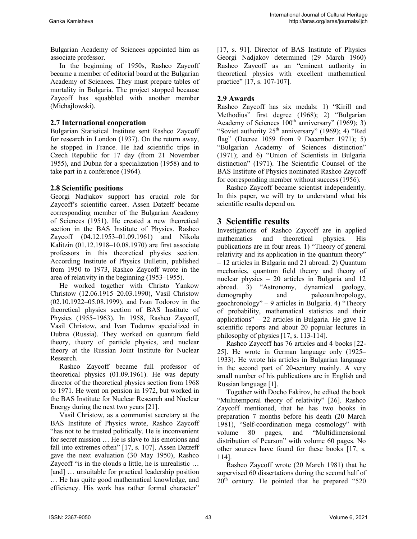Bulgarian Academy of Sciences appointed him as associate professor.

In the beginning of 1950s, Rashco Zaycoff became a member of editorial board at the Bulgarian Academy of Sciences. They must prepare tables of mortality in Bulgaria. The project stopped because Zaycoff has squabbled with another member (Michajlowski).

#### **2.7 International cooperation**

Bulgarian Statistical Institute sent Rashco Zaycoff for research in London (1937). On the return away, he stopped in France. He had scientific trips in Czech Republic for 17 day (from 21 November 1955), and Dubna for a specialization (1958) and to take part in a conference (1964).

#### **2.8 Scientific positions**

Georgi Nadjakov support has crucial role for Zaycoff's scientific career. Assen Datzeff became corresponding member of the Bulgarian Academy of Sciences (1951). He created a new theoretical section in the BAS Institute of Physics. Rashco Zaycoff (04.12.1953–01.09.1961) and Nikola Kalitzin (01.12.1918–10.08.1970) are first associate professors in this theoretical physics section. According Institute of Physics Bulletin, published from 1950 to 1973, Rashco Zaycoff wrote in the area of relativity in the beginning (1953–1955).

He worked together with Christo Yankow Christow (12.06.1915–20.03.1990), Vasil Christow (02.10.1922–05.08.1999), and Ivan Todorov in the theoretical physics section of BAS Institute of Physics (1955–1963). In 1958, Rashco Zaycoff, Vasil Christow, and Ivan Todorov specialized in Dubna (Russia). They worked on quantum field theory, theory of particle physics, and nuclear theory at the Russian Joint Institute for Nuclear Research.

Rashco Zaycoff became full professor of theoretical physics (01.09.1961). He was deputy director of the theoretical physics section from 1968 to 1971. He went on pension in 1972, but worked in the BAS Institute for Nuclear Research and Nuclear Energy during the next two years [21].

Vasil Christow, as a communist secretary at the BAS Institute of Physics wrote, Rashco Zaycoff "has not to be trusted politically. He is inconvenient for secret mission … He is slave to his emotions and fall into extremes often" [17, s. 107]. Assen Datzeff gave the next evaluation (30 May 1950), Rashco Zaycoff "is in the clouds a little, he is unrealistic ... [and] ... unsuitable for practical leadership position … He has quite good mathematical knowledge, and efficiency. His work has rather formal character"

[17, s. 91]. Director of BAS Institute of Physics Georgi Nadjakov determined (29 March 1960) Rashco Zaycoff as an "eminent authority in theoretical physics with excellent mathematical practice" [17, s. 107-107].

#### **2.9 Awards**

Rashco Zaycoff has six medals: 1) "Kirill and Methodius" first degree (1968); 2) "Bulgarian Academy of Sciences  $100<sup>th</sup>$  anniversary" (1969); 3) "Soviet authority  $25<sup>th</sup>$  anniversary" (1969); 4) "Red flag" (Decree 1059 from 9 December 1971); 5) "Bulgarian Academy of Sciences distinction" (1971); and 6) "Union of Scientists in Bulgaria distinction" (1971). The Scientific Counsel of the BAS Institute of Physics nominated Rashco Zaycoff for corresponding member without success (1956).

Rashco Zaycoff became scientist independently. In this paper, we will try to understand what his scientific results depend on.

# **3 Scientific results**

Investigations of Rashco Zaycoff are in applied mathematics and theoretical physics. His publications are in four areas. 1) "Theory of general relativity and its application in the quantum theory" – 12 articles in Bulgaria and 21 abroad. 2) Quantum mechanics, quantum field theory and theory of nuclear physics – 20 articles in Bulgaria and 12 abroad. 3) "Astronomy, dynamical geology, demography and paleoanthropology, geochronology" – 9 articles in Bulgaria. 4) "Theory of probability, mathematical statistics and their applications" – 22 articles in Bulgaria. He gave 12 scientific reports and about 20 popular lectures in philosophy of physics [17, s. 113-114].

Rashco Zaycoff has 76 articles and 4 books [22- 25]. He wrote in German language only (1925– 1933). He wrote his articles in Bulgarian language in the second part of 20-century mainly. A very small number of his publications are in English and Russian language [1].

Together with Docho Fakirov, he edited the book "Multitemporal theory of relativity" [26]. Rashco Zaycoff mentioned, that he has two books in preparation 7 months before his death (20 March 1981), "Self-coordination mega cosmology" with volume 80 pages, and "Multidimensional distribution of Pearson" with volume 60 pages. No other sources have found for these books [17, s. 114].

Rashco Zaycoff wrote (20 March 1981) that he supervised 60 dissertations during the second half of  $20<sup>th</sup>$  century. He pointed that he prepared "520"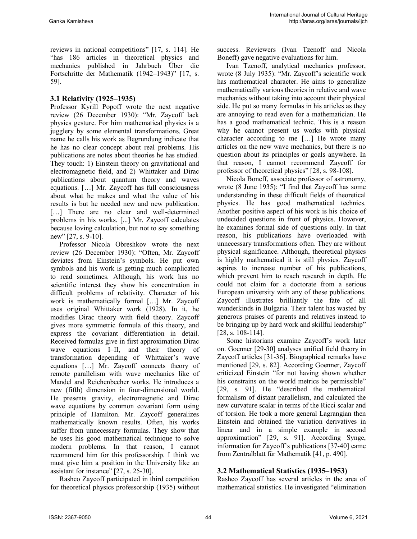reviews in national competitions" [17, s. 114]. He "has 186 articles in theoretical physics and mechanics published in Jahrbuch Űber die Fortschritte der Mathematik (1942–1943)" [17, s. 59].

### **3.1 Relativity (1925–1935)**

Professor Kyrill Popoff wrote the next negative review (26 December 1930): "Mr. Zaycoff lack physics gesture. For him mathematical physics is a jugglery by some elemental transformations. Great name he calls his work as Begrundung indicate that he has no clear concept about real problems. His publications are notes about theories he has studied. They touch: 1) Einstein theory on gravitational and electromagnetic field, and 2) Whittaker and Dirac publications about quantum theory and waves equations. […] Mr. Zaycoff has full consciousness about what he makes and what the value of his results is but he needed new and new publication. [...] There are no clear and well-determined problems in his works. [...] Mr. Zaycoff calculates because loving calculation, but not to say something new" [27, s. 9-10].

Professor Nicola Obreshkov wrote the next review (26 December 1930): "Often, Mr. Zaycoff deviates from Einstein's symbols. He put own symbols and his work is getting much complicated to read sometimes. Although, his work has no scientific interest they show his concentration in difficult problems of relativity. Character of his work is mathematically formal […] Mr. Zaycoff uses original Whittaker work (1928). In it, he modifies Dirac theory with field theory. Zaycoff gives more symmetric formula of this theory, and express the covariant differentiation in detail. Received formulas give in first approximation Dirac wave equations I–II, and their theory of transformation depending of Whittaker's wave equations […] Mr. Zaycoff connects theory of remote parallelism with wave mechanics like of Mandel and Reichenbecher works. He introduces a new (fifth) dimension in four-dimensional world. He presents gravity, electromagnetic and Dirac wave equations by common covariant form using principle of Hamilton. Mr. Zaycoff generalizes mathematically known results. Often, his works suffer from unnecessary formulas. They show that he uses his good mathematical technique to solve modern problems. In that reason, I cannot recommend him for this professorship. I think we must give him a position in the University like an assistant for instance" [27, s. 25-30].

Rashco Zaycoff participated in third competition for theoretical physics professorship (1935) without success. Reviewers (Ivan Tzenoff and Nicola Boneff) gave negative evaluations for him.

Ivan Tzenoff, analytical mechanics professor, wrote (8 July 1935): "Mr. Zaycoff's scientific work has mathematical character. He aims to generalize mathematically various theories in relative and wave mechanics without taking into account their physical side. He put so many formulas in his articles as they are annoying to read even for a mathematician. He has a good mathematical technic. This is a reason why he cannot present us works with physical character according to me […] He wrote many articles on the new wave mechanics, but there is no question about its principles or goals anywhere. In that reason, I cannot recommend Zaycoff for professor of theoretical physics" [28, s. 98-108].

Nicola Boneff, associate professor of astronomy, wrote (8 June 1935): "I find that Zaycoff has some understanding in these difficult fields of theoretical physics. He has good mathematical technics. Another positive aspect of his work is his choice of undecided questions in front of physics. However, he examines formal side of questions only. In that reason, his publications have overloaded with unnecessary transformations often. They are without physical significance. Although, theoretical physics is highly mathematical it is still physics. Zaycoff aspires to increase number of his publications, which prevent him to reach research in depth. He could not claim for a doctorate from a serious European university with any of these publications. Zaycoff illustrates brilliantly the fate of all wunderkinds in Bulgaria. Their talent has wasted by generous praises of parents and relatives instead to be bringing up by hard work and skillful leadership" [28, s. 108-114].

Some historians examine Zaycoff's work later on. Goenner [29-30] analyses unified field theory in Zaycoff articles [31-36]. Biographical remarks have mentioned [29, s. 82]. According Goenner, Zaycoff criticized Einstein "for not having shown whether his constrains on the world metrics be permissible" [29, s. 91]. He "described the mathematical formalism of distant parallelism, and calculated the new curvature scalar in terms of the Ricci scalar and of torsion. He took a more general Lagrangian then Einstein and obtained the variation derivatives in linear and in a simple example in second approximation" [29, s. 91]. According Synge, information for Zaycoff's publications [37-40] came from Zentralblatt für Mathematik [41, p. 490].

### **3.2 Mathematical Statistics (1935–1953)**

Rashco Zaycoff has several articles in the area of mathematical statistics. He investigated "elimination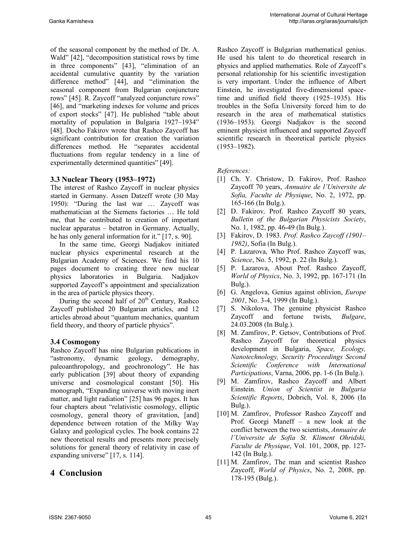of the seasonal component by the method of Dr. A. Wald" [42], "decomposition statistical rows by time in three components" [43], "elimination of an accidental cumulative quantity by the variation difference method" [44], and "elimination the seasonal component from Bulgarian conjuncture rows" [45]. R. Zaycoff "analyzed conjuncture rows" [46], and "marketing indexes for volume and prices of export stocks" [47]. He published "table about mortality of population in Bulgaria 1927–1934" [48]. Docho Fakirov wrote that Rashco Zaycoff has significant contribution for creation the variation differences method. He "separates accidental fluctuations from regular tendency in a line of experimentally determined quantities" [49].

#### **3.3 Nuclear Theory (1953–1972)**

The interest of Rashco Zaycoff in nuclear physics started in Germany. Assen Datzeff wrote (30 May 1950): "During the last war … Zaycoff was mathematician at the Siemens factories … He told me, that he contributed to creation of important nuclear apparatus – betatron in Germany. Actually, he has only general information for it." [17, s. 90].

In the same time, Georgi Nadjakov initiated nuclear physics experimental research at the Bulgarian Academy of Sciences. We find his 10 pages document to creating three new nuclear physics laboratories in Bulgaria. Nadjakov supported Zaycoff's appointment and specialization in the area of particle physics theory.

During the second half of  $20<sup>th</sup>$  Century, Rashco Zaycoff published 20 Bulgarian articles, and 12 articles abroad about "quantum mechanics, quantum field theory, and theory of particle physics".

#### **3.4 Cosmogony**

Rashco Zaycoff has nine Bulgarian publications in "astronomy, dynamic geology, demography, paleoanthropology, and geochronology". He has early publication [39] about theory of expanding universe and cosmological constant [50]. His monograph, "Expanding universe with moving inert matter, and light radiation" [25] has 96 pages. It has four chapters about "relativistic cosmology, elliptic cosmology, general theory of gravitation, [and] dependence between rotation of the Milky Way Galaxy and geological cycles. The book contains 22 new theoretical results and presents more precisely solutions for general theory of relativity in case of expanding universe" [17, s. 114].

# **4 Conclusion**

Rashco Zaycoff is Bulgarian mathematical genius. He used his talent to do theoretical research in physics and applied mathematics. Role of Zaycoff's personal relationship for his scientific investigation is very important. Under the influence of Albert Einstein, he investigated five-dimensional spacetime and unified field theory (1925–1935). His troubles in the Sofia University forced him to do research in the area of mathematical statistics (1936–1953). Georgi Nadjakov is the second eminent physicist influenced and supported Zaycoff scientific research in theoretical particle physics (1953–1982).

*References:* 

- [1] Ch. Y. Christow, D. Fakirov, Prof. Rashco Zaycoff 70 years, *Annuaire de l'Universite de Sofia, Faculte de Physique*, No. 2, 1972, pp. 165-166 (In Bulg.).
- [2] D. Fakirov*,* Prof. Rashco Zaycoff 80 years, *Bulletin of the Bulgarian Physicists Society*, No. 1, 1982, pp. 46-49 (In Bulg.).
- [3] Fakirov, D. 1983. *Prof. Rashco Zaycoff (1901– 1982)*, Sofia (In Bulg.).
- [4] P. Lazarova, Who Prof. Rashco Zaycoff was, *Science*, No. 5, 1992, p. 22 (In Bulg.).
- [5] P. Lazarova, About Prof. Rashco Zaycoff, *World of Physics*, No. 3, 1992, pp. 167-171 (In Bulg.).
- [6] G. Angelova, Genius against oblivion, *Europe 2001*, No. 3-4, 1999 (In Bulg.).
- [7] S. Nikolova, The genuine physicist Rashco Zaycoff and fortune twists, *Bulgare*, 24.03.2008 (In Bulg.).
- [8] M. Zamfirov, P. Getsov, Contributions of Prof. Rashco Zaycoff for theoretical physics development in Bulgaria, *Space, Ecology, Nanotechnology, Security Proceedings Second Scientific Conference with International Participations*, Varna, 2006, pp. 1-6 (In Bulg.).
- [9] M. Zamfirov, Rashco Zaycoff and Albert Einstein. *Union of Scientist in Bulgaria Scientific Reports*, Dobrich, Vol. 8, 2006 (In Bulg.).
- [10] M. Zamfirov, Professor Rashco Zaycoff and Prof. Georgi Maneff – a new look at the conflict between the two scientists, *Annuaire de l'Universite de Sofia St. Kliment Ohridski, Faculte de Physique*, Vol. 101, 2008, pp. 127- 142 (In Bulg.).
- [11] M. Zamfirov, The man and scientist Rashco Zaycoff, *World of Physics*, No. 2, 2008, pp. 178-195 (Bulg.).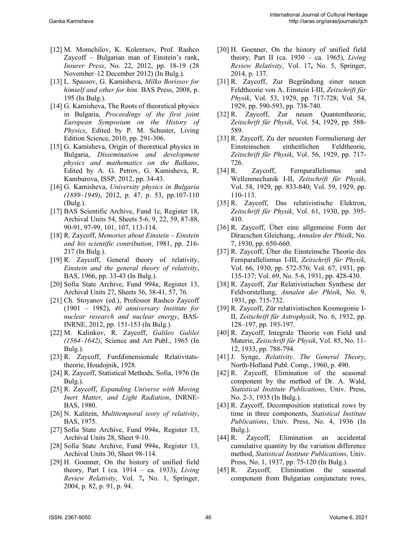- [12] M. Momchilov, K. Kolentsov, Prof. Rashco Zaycoff – Bulgarian man of Einstein's rank, *Insurer Press*, No. 22, 2012, pp. 18-19 (28 November–12 December 2012) (In Bulg.).
- [13] L. Spassov, G. Kamisheva, *Milko Borissov for himself and other for him*. BAS Press, 2008, p. 195 (In Bulg.).
- [14] G. Kamisheva, The Roots of theoretical physics in Bulgaria, *Proceedings of the first joint European Symposium on the History of Physics*, Edited by P. M. Schuster, Living Edition Science, 2010, pp. 291-306.
- [15] G. Kamisheva, Origin of theoretical physics in Bulgaria, *Dissemination and development physics and mathematics on the Balkans*, Edited by A. G. Petrov, G. Kamisheva, R. Kamburova, ISSP, 2012, pp. 34-43.
- [16] G. Kamisheva, *University physics in Bulgaria (1889–1949)*, 2012, p. 47, p. 53, pp.107-110 (Bulg.).
- [17] BAS Scientific Archive, Fund 1c, Register 18, Archival Units 54, Sheets 5-6, 9, 22, 59, 87-88, 90-91, 97-99, 101, 107, 113-114.
- [18] R. Zaycoff, *Memories about Einstein Einstein and his scientific contribution*, 1981, pp. 216- 217 (In Bulg.).
- [19] R. Zaycoff, General theory of relativity, *Einstein and the general theory of relativity*, BAS, 1966, pp. 33-43 (In Bulg.).
- [20] Sofia State Archive, Fund 994к, Register 13, Archival Units 27, Sheets 36, 38-41, 57, 76.
- [21] Ch. Stoyanov (ed.), Professor Rashco Zaycoff (1901 – 1982), *40 anniversary Institute for nuclear research and nuclear energy*, BAS-INRNE, 2012, pp. 151-153 (In Bulg.).
- [22] M. Kalinkov, R. Zaycoff, *Galileo Galilei (1564–1642)*, Science and Art Publ., 1965 (In Bulg.).
- [23] R. Zaycoff, Funfdimensionale Relativitatstheorie, Houdojnik, 1928.
- [24] R. Zaycoff, Statistical Methods, Sofia, 1976 (In Bulg.).
- [25] R. Zaycoff, *Expanding Universe with Moving Inert Matter, and Light Radiation*, INRNE-BAS, 1980.
- [26] N. Kalitzin, *Multitemporal teory of relativity*, BAS, 1975.
- [27] Sofia State Archive, Fund 994к, Register 13, Archival Units 28, Sheet 9-10.
- [28] Sofia State Archive, Fund 994к, Register 13, Archival Units 30, Sheet 98-114.
- [29] H. Goenner, On the history of unified field theory, Part I (ca. 1914 – ca. 1933), *Living Review Relativity*, Vol. 7**,** No. 1, Springer, 2004, p. 82, p. 91, p. 94.
- [30] H. Goenner, On the history of unified field theory, Part II (ca. 1930 – ca. 1965), *Living Review Relativity*, Vol. 17**,** No. 5, Springer, 2014, p. 137.
- [31] R. Zaycoff, Zur Begründung einer neuen Feldtheorie von A. Einstein I-III, *Zeitschrift für Physik*, Vol. 53, 1929, pp. 717-728; Vol. 54, 1929, pp. 590-593, pp. 738-740.
- [32] R. Zaycoff, Zur neuen Quantentheorie, *Zeitschrift für Physik*, Vol. 54, 1929, pp. 588- 589.
- [33] R. Zaycoff, Zu der neuesten Formulierung der Einsteinschen einheitlichen Feldtheorie, *Zeitschrift für Physik*, Vol. 56, 1929, pp. 717- 726.
- [34] R. Zaycoff, Fernparallelismus und Wellenmechanik I-II, *Zeitschrift für Physik*, Vol. 58, 1929, pp. 833-840; Vol. 59, 1929, pp. 110-113.
- [35] R. Zaycoff, Das relativistische Elektron, *Zeitschrift für Physik*, Vol. 61, 1930, pp. 395- 410.
- [36] R. Zaycoff, Über eine allgemeine Form der Diracschen Gleichung, *Annalen der Phisik*, No. 7, 1930, pp. 650-660.
- [37] R. Zaycoff, Über die Einsteinsche Theorie des Fernparallelismus I-III, *Zeitschrift für Physik*, Vol. 66, 1930, pp. 572-576; Vol. 67, 1931, pp. 135-137; Vol. 69, No. 5-6, 1931, pp. 428-430.
- [38] R. Zaycoff, Zur Relativistischen Synthese der Feldvorstellung, *Annalen der Phisik*, No. 9, 1931, pp. 715-732.
- [39] R. Zaycoff, Zür relativistischen Kosmogonie I-II, *Zeitschrift für Astrophysik*, No. 6, 1932, pp. 128–197, pp. 193-197.
- [40] R. Zaycoff, Integrale Theorie von Field und Materie, *Zeitschrift für Physik*, Vol. 85, No. 11- 12, 1933, pp. 788-794.
- [41] J. Synge, *Relativity. The General Theory*, North-Holland Publ. Comp., 1960, p. 490.
- [42] R. Zaycoff, Elimination of the seasonal component by the method of Dr. A. Wald, *Statistical Institute Publications*, Univ. Press, No. 2-3, 1935 (In Bulg.).
- [43] R. Zaycoff, Decomposition statistical rows by time in three components, *Statistical Institute Publications*, Univ. Press, No. 4, 1936 (In Bulg.).
- [44] R. Zaycoff, Elimination an accidental cumulative quantity by the variation difference method, *Statistical Institute Publications*, Univ. Press, No. 1, 1937, pp. 75-120 (In Bulg.).
- [45] R. Zaycoff, Elimination the seasonal component from Bulgarian conjuncture rows,